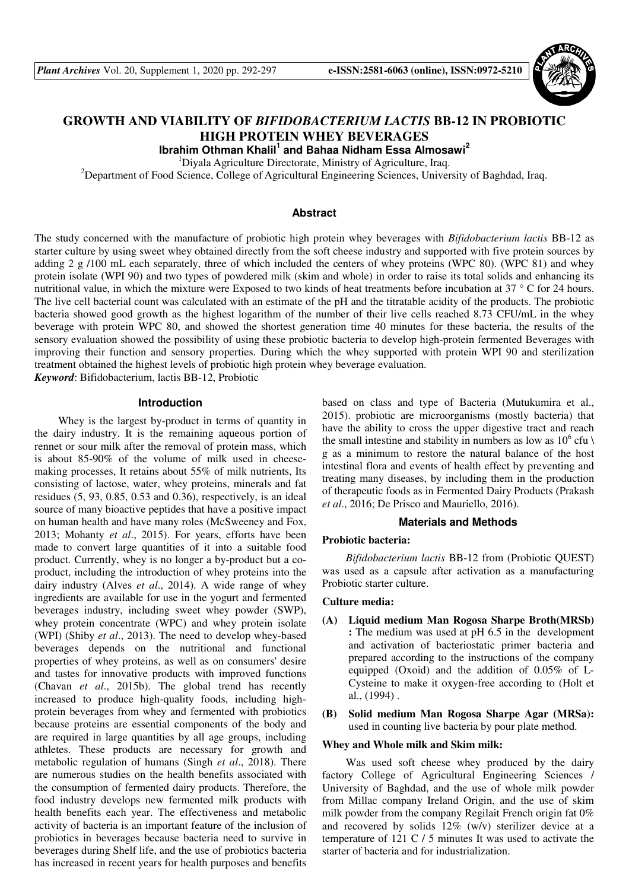

# **GROWTH AND VIABILITY OF** *BIFIDOBACTERIUM LACTIS* **BB-12 IN PROBIOTIC HIGH PROTEIN WHEY BEVERAGES**

**Ibrahim Othman Khalil<sup>1</sup> and Bahaa Nidham Essa Almosawi<sup>2</sup>**

<sup>1</sup>Diyala Agriculture Directorate, Ministry of Agriculture, Iraq.

<sup>2</sup>Department of Food Science, College of Agricultural Engineering Sciences, University of Baghdad, Iraq.

# **Abstract**

The study concerned with the manufacture of probiotic high protein whey beverages with *Bifidobacterium lactis* BB-12 as starter culture by using sweet whey obtained directly from the soft cheese industry and supported with five protein sources by adding 2 g /100 mL each separately, three of which included the centers of whey proteins (WPC 80). (WPC 81) and whey protein isolate (WPI 90) and two types of powdered milk (skim and whole) in order to raise its total solids and enhancing its nutritional value, in which the mixture were Exposed to two kinds of heat treatments before incubation at 37 ° C for 24 hours. The live cell bacterial count was calculated with an estimate of the pH and the titratable acidity of the products. The probiotic bacteria showed good growth as the highest logarithm of the number of their live cells reached 8.73 CFU/mL in the whey beverage with protein WPC 80, and showed the shortest generation time 40 minutes for these bacteria, the results of the sensory evaluation showed the possibility of using these probiotic bacteria to develop high-protein fermented Beverages with improving their function and sensory properties. During which the whey supported with protein WPI 90 and sterilization treatment obtained the highest levels of probiotic high protein whey beverage evaluation.

*Keyword*: Bifidobacterium, lactis BB-12, Probiotic

## **Introduction**

Whey is the largest by-product in terms of quantity in the dairy industry. It is the remaining aqueous portion of rennet or sour milk after the removal of protein mass, which is about 85-90% of the volume of milk used in cheesemaking processes, It retains about 55% of milk nutrients, Its consisting of lactose, water, whey proteins, minerals and fat residues (5, 93, 0.85, 0.53 and 0.36), respectively, is an ideal source of many bioactive peptides that have a positive impact on human health and have many roles (McSweeney and Fox, 2013; Mohanty *et al*., 2015). For years, efforts have been made to convert large quantities of it into a suitable food product. Currently, whey is no longer a by-product but a coproduct, including the introduction of whey proteins into the dairy industry (Alves *et al*., 2014). A wide range of whey ingredients are available for use in the yogurt and fermented beverages industry, including sweet whey powder (SWP), whey protein concentrate (WPC) and whey protein isolate (WPI) (Shiby *et al*., 2013). The need to develop whey-based beverages depends on the nutritional and functional properties of whey proteins, as well as on consumers' desire and tastes for innovative products with improved functions (Chavan *et al*., 2015b). The global trend has recently increased to produce high-quality foods, including highprotein beverages from whey and fermented with probiotics because proteins are essential components of the body and are required in large quantities by all age groups, including athletes. These products are necessary for growth and metabolic regulation of humans (Singh *et al*., 2018). There are numerous studies on the health benefits associated with the consumption of fermented dairy products. Therefore, the food industry develops new fermented milk products with health benefits each year. The effectiveness and metabolic activity of bacteria is an important feature of the inclusion of probiotics in beverages because bacteria need to survive in beverages during Shelf life, and the use of probiotics bacteria has increased in recent years for health purposes and benefits

based on class and type of Bacteria (Mutukumira et al., 2015). probiotic are microorganisms (mostly bacteria) that have the ability to cross the upper digestive tract and reach the small intestine and stability in numbers as low as  $10^6$  cfu \ g as a minimum to restore the natural balance of the host intestinal flora and events of health effect by preventing and treating many diseases, by including them in the production of therapeutic foods as in Fermented Dairy Products (Prakash *et al*., 2016; De Prisco and Mauriello, 2016).

#### **Materials and Methods**

## **Probiotic bacteria:**

*Bifidobacterium lactis* BB-12 from (Probiotic QUEST) was used as a capsule after activation as a manufacturing Probiotic starter culture.

#### **Culture media:**

- **(A) Liquid medium Man Rogosa Sharpe Broth(MRSb) :** The medium was used at pH 6.5 in the development and activation of bacteriostatic primer bacteria and prepared according to the instructions of the company equipped (Oxoid) and the addition of 0.05% of L-Cysteine to make it oxygen-free according to (Holt et al., (1994) .
- **(B) Solid medium Man Rogosa Sharpe Agar (MRSa):** used in counting live bacteria by pour plate method.

# **Whey and Whole milk and Skim milk:**

Was used soft cheese whey produced by the dairy factory College of Agricultural Engineering Sciences / University of Baghdad, and the use of whole milk powder from Millac company Ireland Origin, and the use of skim milk powder from the company Regilait French origin fat 0% and recovered by solids 12% (w/v) sterilizer device at a temperature of 121 C / 5 minutes It was used to activate the starter of bacteria and for industrialization.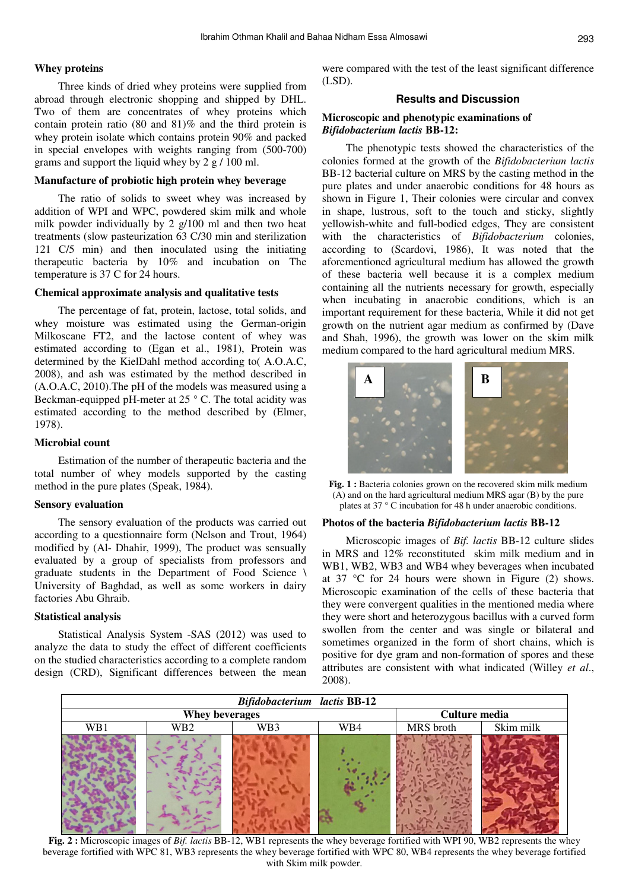#### **Whey proteins**

Three kinds of dried whey proteins were supplied from abroad through electronic shopping and shipped by DHL. Two of them are concentrates of whey proteins which contain protein ratio (80 and 81)% and the third protein is whey protein isolate which contains protein 90% and packed in special envelopes with weights ranging from (500-700) grams and support the liquid whey by 2 g / 100 ml.

## **Manufacture of probiotic high protein whey beverage**

The ratio of solids to sweet whey was increased by addition of WPI and WPC, powdered skim milk and whole milk powder individually by 2 g/100 ml and then two heat treatments (slow pasteurization 63 C/30 min and sterilization 121 C/5 min) and then inoculated using the initiating therapeutic bacteria by 10% and incubation on The temperature is 37 C for 24 hours.

#### **Chemical approximate analysis and qualitative tests**

The percentage of fat, protein, lactose, total solids, and whey moisture was estimated using the German-origin Milkoscane FT2, and the lactose content of whey was estimated according to (Egan et al., 1981), Protein was determined by the KielDahl method according to( A.O.A.C, 2008), and ash was estimated by the method described in (A.O.A.C, 2010).The pH of the models was measured using a Beckman-equipped pH-meter at  $25 \degree$  C. The total acidity was estimated according to the method described by (Elmer, 1978).

## **Microbial count**

Estimation of the number of therapeutic bacteria and the total number of whey models supported by the casting method in the pure plates (Speak, 1984).

#### **Sensory evaluation**

The sensory evaluation of the products was carried out according to a questionnaire form (Nelson and Trout, 1964) modified by (Al- Dhahir, 1999), The product was sensually evaluated by a group of specialists from professors and graduate students in the Department of Food Science \ University of Baghdad, as well as some workers in dairy factories Abu Ghraib.

#### **Statistical analysis**

Statistical Analysis System -SAS (2012) was used to analyze the data to study the effect of different coefficients on the studied characteristics according to a complete random design (CRD), Significant differences between the mean were compared with the test of the least significant difference (LSD).

## **Results and Discussion**

#### **Microscopic and phenotypic examinations of**  *Bifidobacterium lactis* **BB-12:**

The phenotypic tests showed the characteristics of the colonies formed at the growth of the *Bifidobacterium lactis* BB-12 bacterial culture on MRS by the casting method in the pure plates and under anaerobic conditions for 48 hours as shown in Figure 1, Their colonies were circular and convex in shape, lustrous, soft to the touch and sticky, slightly yellowish-white and full-bodied edges, They are consistent with the characteristics of *Bifidobacterium* colonies, according to (Scardovi, 1986), It was noted that the aforementioned agricultural medium has allowed the growth of these bacteria well because it is a complex medium containing all the nutrients necessary for growth, especially when incubating in anaerobic conditions, which is an important requirement for these bacteria, While it did not get growth on the nutrient agar medium as confirmed by (Dave and Shah, 1996), the growth was lower on the skim milk medium compared to the hard agricultural medium MRS.



**Fig. 1 :** Bacteria colonies grown on the recovered skim milk medium (A) and on the hard agricultural medium MRS agar (B) by the pure plates at 37 ° C incubation for 48 h under anaerobic conditions.

#### **Photos of the bacteria** *Bifidobacterium lactis* **BB-12**

Microscopic images of *Bif. lactis* BB-12 culture slides in MRS and 12% reconstituted skim milk medium and in WB1, WB2, WB3 and WB4 whey beverages when incubated at  $37 \text{ °C}$  for 24 hours were shown in Figure (2) shows. Microscopic examination of the cells of these bacteria that they were convergent qualities in the mentioned media where they were short and heterozygous bacillus with a curved form swollen from the center and was single or bilateral and sometimes organized in the form of short chains, which is positive for dye gram and non-formation of spores and these attributes are consistent with what indicated (Willey *et al*., 2008).



**Fig. 2 :** Microscopic images of *Bif. lactis* BB-12, WB1 represents the whey beverage fortified with WPI 90, WB2 represents the whey beverage fortified with WPC 81, WB3 represents the whey beverage fortified with WPC 80, WB4 represents the whey beverage fortified with Skim milk powder.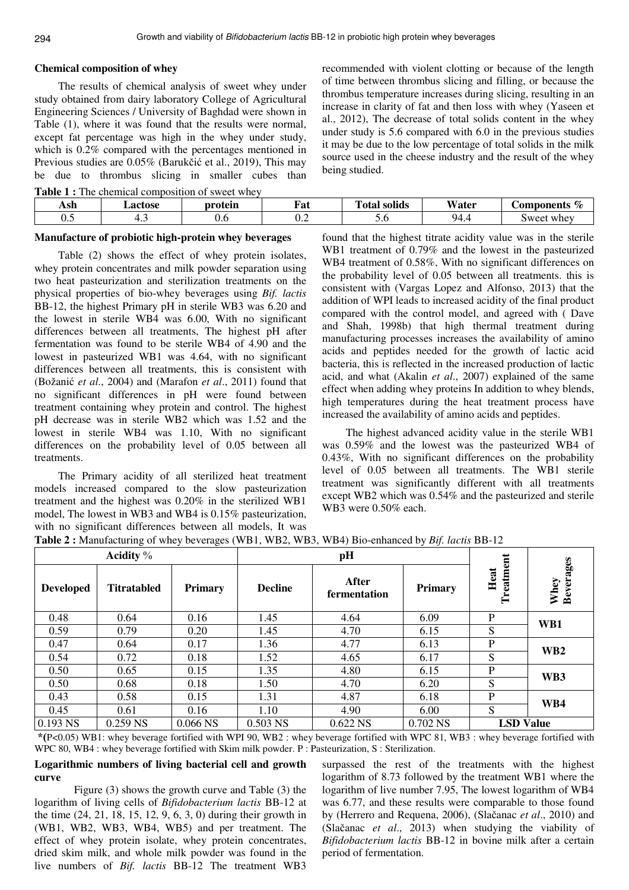## **Chemical composition of whey**

The results of chemical analysis of sweet whey under study obtained from dairy laboratory College of Agricultural Engineering Sciences / University of Baghdad were shown in Table (1), where it was found that the results were normal, except fat percentage was high in the whey under study, which is  $0.2\%$  compared with the percentages mentioned in Previous studies are 0.05% (Barukčić et al., 2019), This may be due to thrombus slicing in smaller cubes than

**Table 1 :** The chemical composition of sweet whey

recommended with violent clotting or because of the length of time between thrombus slicing and filling, or because the thrombus temperature increases during slicing, resulting in an increase in clarity of fat and then loss with whey (Yaseen et al., 2012), The decrease of total solids content in the whey under study is 5.6 compared with 6.0 in the previous studies it may be due to the low percentage of total solids in the milk source used in the cheese industry and the result of the whey being studied.

| Ash | ∟actose | protein | $\overline{\phantom{a}}$<br>Fat | .<br><b>CONTRACTOR</b><br>'∩tol<br>solids | Water               | -<br>$\sigma$<br>' <b>€omponents</b><br>$\overline{\phantom{a}}$ |
|-----|---------|---------|---------------------------------|-------------------------------------------|---------------------|------------------------------------------------------------------|
| ∪.∴ | т.      | v.v     | ∪.∠                             | $\cup \, \cdot \, \cup$                   | $Q_{\Delta}$<br>᠇.− | sweet whey                                                       |

# **Manufacture of probiotic high-protein whey beverages**

Table (2) shows the effect of whey protein isolates, whey protein concentrates and milk powder separation using two heat pasteurization and sterilization treatments on the physical properties of bio-whey beverages using *Bif. lactis* BB-12, the highest Primary pH in sterile WB3 was 6.20 and the lowest in sterile WB4 was 6.00, With no significant differences between all treatments, The highest pH after fermentation was found to be sterile WB4 of 4.90 and the lowest in pasteurized WB1 was 4.64, with no significant differences between all treatments, this is consistent with (Božanić *et al*., 2004) and (Marafon *et al*., 2011) found that no significant differences in pH were found between treatment containing whey protein and control. The highest pH decrease was in sterile WB2 which was 1.52 and the lowest in sterile WB4 was 1.10, With no significant differences on the probability level of 0.05 between all treatments.

The Primary acidity of all sterilized heat treatment models increased compared to the slow pasteurization treatment and the highest was 0.20% in the sterilized WB1 model, The lowest in WB3 and WB4 is 0.15% pasteurization, with no significant differences between all models, It was

found that the highest titrate acidity value was in the sterile WB1 treatment of 0.79% and the lowest in the pasteurized WB4 treatment of 0.58%, With no significant differences on the probability level of 0.05 between all treatments. this is consistent with (Vargas Lopez and Alfonso, 2013) that the addition of WPI leads to increased acidity of the final product compared with the control model, and agreed with ( Dave and Shah, 1998b) that high thermal treatment during manufacturing processes increases the availability of amino acids and peptides needed for the growth of lactic acid bacteria, this is reflected in the increased production of lactic acid, and what (Akalin *et al*., 2007) explained of the same effect when adding whey proteins In addition to whey blends, high temperatures during the heat treatment process have increased the availability of amino acids and peptides.

The highest advanced acidity value in the sterile WB1 was 0.59% and the lowest was the pasteurized WB4 of 0.43%, With no significant differences on the probability level of 0.05 between all treatments. The WB1 sterile treatment was significantly different with all treatments except WB2 which was 0.54% and the pasteurized and sterile WB3 were 0.50% each.

| Acidity $\%$     |                    |                |                | pH                    |          |                   |                          |
|------------------|--------------------|----------------|----------------|-----------------------|----------|-------------------|--------------------------|
| <b>Developed</b> | <b>Titratabled</b> | <b>Primary</b> | <b>Decline</b> | After<br>fermentation | Primary  | Treatment<br>Heat | <b>Beverages</b><br>Whey |
| 0.48             | 0.64               | 0.16           | 1.45           | 4.64                  | 6.09     | P                 | WB1                      |
| 0.59             | 0.79               | 0.20           | 1.45           | 4.70                  | 6.15     | S                 |                          |
| 0.47             | 0.64               | 0.17           | 1.36           | 4.77                  | 6.13     | P                 | WB <sub>2</sub>          |
| 0.54             | 0.72               | 0.18           | 1.52           | 4.65                  | 6.17     | S                 |                          |
| 0.50             | 0.65               | 0.15           | 1.35           | 4.80                  | 6.15     | P                 | WB3                      |
| 0.50             | 0.68               | 0.18           | 1.50           | 4.70                  | 6.20     | S                 |                          |
| 0.43             | 0.58               | 0.15           | 1.31           | 4.87                  | 6.18     | P                 | WB4                      |
| 0.45             | 0.61               | 0.16           | 1.10           | 4.90                  | 6.00     | S                 |                          |
| $0.193$ NS       | $0.259$ NS         | $0.066$ NS     | $0.503$ NS     | 0.622 NS              | 0.702 NS | <b>LSD Value</b>  |                          |

**Table 2 :** Manufacturing of whey beverages (WB1, WB2, WB3, WB4) Bio-enhanced by *Bif. lactis* BB-12

 \*(P<0.05) WB1: whey beverage fortified with WPI 90, WB2 : whey beverage fortified with WPC 81, WB3 : whey beverage fortified with WPC 80, WB4 : whey beverage fortified with Skim milk powder. P : Pasteurization, S : Sterilization.

**Logarithmic numbers of living bacterial cell and growth curve** 

Figure (3) shows the growth curve and Table (3) the logarithm of living cells of *Bifidobacterium lactis* BB-12 at the time (24, 21, 18, 15, 12, 9, 6, 3, 0) during their growth in (WB1, WB2, WB3, WB4, WB5) and per treatment. The effect of whey protein isolate, whey protein concentrates, dried skim milk, and whole milk powder was found in the live numbers of *Bif. lactis* BB-12 The treatment WB3

surpassed the rest of the treatments with the highest logarithm of 8.73 followed by the treatment WB1 where the logarithm of live number 7.95, The lowest logarithm of WB4 was 6.77, and these results were comparable to those found by (Herrero and Requena, 2006), (Slačanac *et al*., 2010) and (Slačanac *et al*., 2013) when studying the viability of *Bifidobacterium lactis* BB-12 in bovine milk after a certain period of fermentation.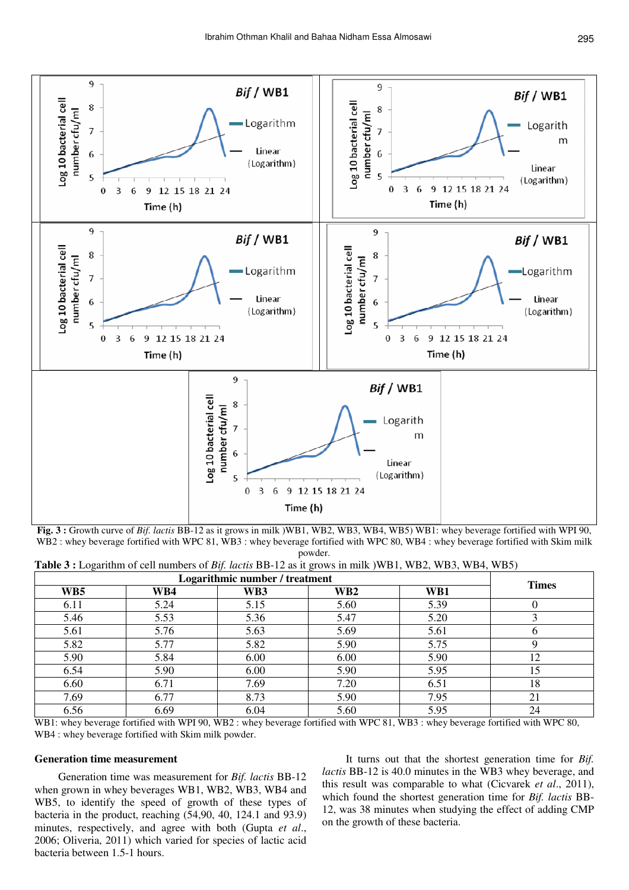

**Fig. 3 :** Growth curve of *Bif. lactis* BB-12 as it grows in milk )WB1, WB2, WB3, WB4, WB5) WB1: whey beverage fortified with WPI 90, WB2 : whey beverage fortified with WPC 81, WB3 : whey beverage fortified with WPC 80, WB4 : whey beverage fortified with Skim milk powder.

| <b>Table 3 :</b> Logarithm of cell numbers of <i>Bif. lactis</i> BB-12 as it grows in milk (WB1, WB2, WB3, WB4, WB5) |  |
|----------------------------------------------------------------------------------------------------------------------|--|
|----------------------------------------------------------------------------------------------------------------------|--|

| Logarithmic number / treatment |      |      |                          |      |              |
|--------------------------------|------|------|--------------------------|------|--------------|
| WB5                            | WB4  | WB3  | $\mathbf{W} \mathbf{B2}$ | WB1  | <b>Times</b> |
| 6.11                           | 5.24 | 5.15 | 5.60                     | 5.39 |              |
| 5.46                           | 5.53 | 5.36 | 5.47                     | 5.20 |              |
| 5.61                           | 5.76 | 5.63 | 5.69                     | 5.61 |              |
| 5.82                           | 5.77 | 5.82 | 5.90                     | 5.75 |              |
| 5.90                           | 5.84 | 6.00 | 6.00                     | 5.90 | 12           |
| 6.54                           | 5.90 | 6.00 | 5.90                     | 5.95 | 15           |
| 6.60                           | 6.71 | 7.69 | 7.20                     | 6.51 | 18           |
| 7.69                           | 6.77 | 8.73 | 5.90                     | 7.95 | 21           |
| 6.56                           | 6.69 | 6.04 | 5.60                     | 5.95 | 24           |

WB1: whey beverage fortified with WPI 90, WB2: whey beverage fortified with WPC 81, WB3: whey beverage fortified with WPC 80, WB4 : whey beverage fortified with Skim milk powder.

# **Generation time measurement**

Generation time was measurement for *Bif. lactis* BB-12 when grown in whey beverages WB1, WB2, WB3, WB4 and WB5, to identify the speed of growth of these types of bacteria in the product, reaching (54,90, 40, 124.1 and 93.9) minutes, respectively, and agree with both (Gupta *et al*., 2006; Oliveria, 2011) which varied for species of lactic acid bacteria between 1.5-1 hours.

It turns out that the shortest generation time for *Bif. lactis* BB-12 is 40.0 minutes in the WB3 whey beverage, and this result was comparable to what (Cicvarek *et al*., 2011), which found the shortest generation time for *Bif. lactis* BB-12, was 38 minutes when studying the effect of adding CMP on the growth of these bacteria.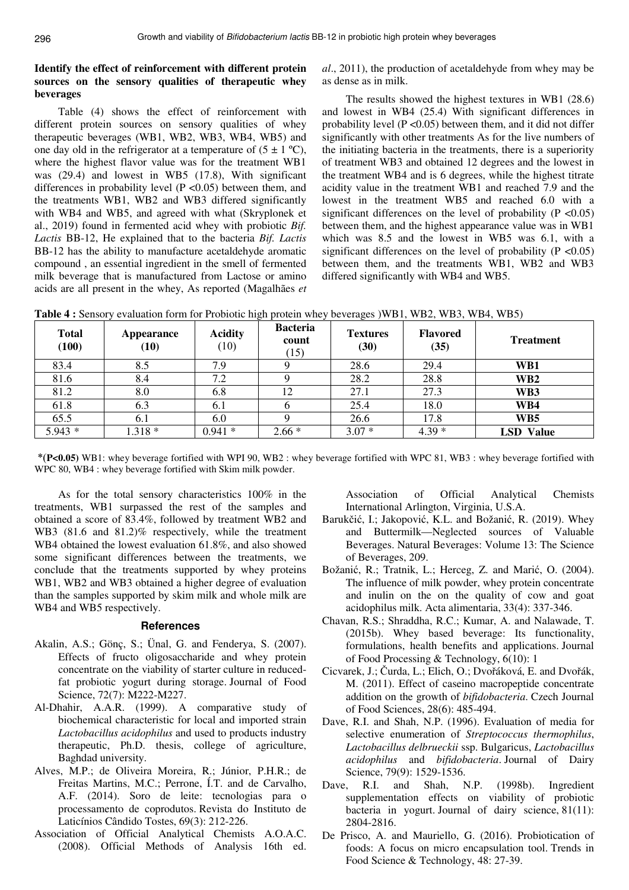# **Identify the effect of reinforcement with different protein sources on the sensory qualities of therapeutic whey beverages**

Table (4) shows the effect of reinforcement with different protein sources on sensory qualities of whey therapeutic beverages (WB1, WB2, WB3, WB4, WB5) and one day old in the refrigerator at a temperature of  $(5 \pm 1 \degree C)$ , where the highest flavor value was for the treatment WB1 was (29.4) and lowest in WB5 (17.8), With significant differences in probability level  $(P \le 0.05)$  between them, and the treatments WB1, WB2 and WB3 differed significantly with WB4 and WB5, and agreed with what (Skryplonek et al., 2019) found in fermented acid whey with probiotic *Bif. Lactis* BB-12, He explained that to the bacteria *Bif. Lactis* BB-12 has the ability to manufacture acetaldehyde aromatic compound , an essential ingredient in the smell of fermented milk beverage that is manufactured from Lactose or amino acids are all present in the whey, As reported (Magalhães *et*  *al*., 2011), the production of acetaldehyde from whey may be as dense as in milk.

The results showed the highest textures in WB1 (28.6) and lowest in WB4 (25.4) With significant differences in probability level ( $P \le 0.05$ ) between them, and it did not differ significantly with other treatments As for the live numbers of the initiating bacteria in the treatments, there is a superiority of treatment WB3 and obtained 12 degrees and the lowest in the treatment WB4 and is 6 degrees, while the highest titrate acidity value in the treatment WB1 and reached 7.9 and the lowest in the treatment WB5 and reached 6.0 with a significant differences on the level of probability ( $P \le 0.05$ ) between them, and the highest appearance value was in WB1 which was 8.5 and the lowest in WB5 was 6.1, with a significant differences on the level of probability ( $P \le 0.05$ ) between them, and the treatments WB1, WB2 and WB3 differed significantly with WB4 and WB5.

| <b>Total</b><br>(100) | <b>Appearance</b><br>(10) | <b>Acidity</b><br>(10) | <b>Bacteria</b><br>count<br>(15) | <b>Textures</b><br>(30) | <b>Flavored</b><br>(35) | <b>Treatment</b> |
|-----------------------|---------------------------|------------------------|----------------------------------|-------------------------|-------------------------|------------------|
| 83.4                  | 8.5                       | 7.9                    |                                  | 28.6                    | 29.4                    | WB1              |
| 81.6                  | 8.4                       | 7.2                    |                                  | 28.2                    | 28.8                    | WB <sub>2</sub>  |
| 81.2                  | 8.0                       | 6.8                    | 12                               | 27.1                    | 27.3                    | WB3              |
| 61.8                  | 6.3                       | 6.1                    |                                  | 25.4                    | 18.0                    | WB4              |
| 65.5                  | 6.1                       | 6.0                    |                                  | 26.6                    | 17.8                    | WB5              |
| $5.943*$              | $1.318*$                  | $0.941*$               | $2.66*$                          | $3.07*$                 | $4.39*$                 | <b>LSD</b> Value |

**Table 4 :** Sensory evaluation form for Probiotic high protein whey beverages )WB1, WB2, WB3, WB4, WB5)

 \*(**P<0.05)** WB1: whey beverage fortified with WPI 90, WB2 : whey beverage fortified with WPC 81, WB3 : whey beverage fortified with WPC 80, WB4 : whey beverage fortified with Skim milk powder.

As for the total sensory characteristics 100% in the treatments, WB1 surpassed the rest of the samples and obtained a score of 83.4%, followed by treatment WB2 and WB3 (81.6 and 81.2)% respectively, while the treatment WB4 obtained the lowest evaluation 61.8%, and also showed some significant differences between the treatments, we conclude that the treatments supported by whey proteins WB1, WB2 and WB3 obtained a higher degree of evaluation than the samples supported by skim milk and whole milk are WB4 and WB5 respectively.

#### **References**

- Akalin, A.S.; Gönç, S.; Ünal, G. and Fenderya, S. (2007). Effects of fructo oligosaccharide and whey protein concentrate on the viability of starter culture in reducedfat probiotic yogurt during storage. Journal of Food Science, 72(7): M222-M227.
- Al-Dhahir, A.A.R. (1999). A comparative study of biochemical characteristic for local and imported strain *Lactobacillus acidophilus* and used to products industry therapeutic, Ph.D. thesis, college of agriculture, Baghdad university.
- Alves, M.P.; de Oliveira Moreira, R.; Júnior, P.H.R.; de Freitas Martins, M.C.; Perrone, Í.T. and de Carvalho, A.F. (2014). Soro de leite: tecnologias para o processamento de coprodutos. Revista do Instituto de Laticínios Cândido Tostes, 69(3): 212-226.
- Association of Official Analytical Chemists A.O.A.C. (2008). Official Methods of Analysis 16th ed.

Association of Official Analytical Chemists International Arlington, Virginia, U.S.A.

- Barukčić, I.; Jakopović, K.L. and Božanić, R. (2019). Whey and Buttermilk—Neglected sources of Valuable Beverages. Natural Beverages: Volume 13: The Science of Beverages, 209.
- Božanić, R.; Tratnik, L.; Herceg, Z. and Marić, O. (2004). The influence of milk powder, whey protein concentrate and inulin on the on the quality of cow and goat acidophilus milk. Acta alimentaria, 33(4): 337-346.
- Chavan, R.S.; Shraddha, R.C.; Kumar, A. and Nalawade, T. (2015b). Whey based beverage: Its functionality, formulations, health benefits and applications. Journal of Food Processing & Technology, 6(10): 1
- Cicvarek, J.; Čurda, L.; Elich, O.; Dvořáková, E. and Dvořák, M. (2011). Effect of caseino macropeptide concentrate addition on the growth of *bifidobacteria*. Czech Journal of Food Sciences, 28(6): 485-494.
- Dave, R.I. and Shah, N.P. (1996). Evaluation of media for selective enumeration of *Streptococcus thermophilus*, *Lactobacillus delbrueckii* ssp. Bulgaricus, *Lactobacillus acidophilus* and *bifidobacteria*. Journal of Dairy Science, 79(9): 1529-1536.
- Dave, R.I. and Shah, N.P. (1998b). Ingredient supplementation effects on viability of probiotic bacteria in yogurt. Journal of dairy science, 81(11): 2804-2816.
- De Prisco, A. and Mauriello, G. (2016). Probiotication of foods: A focus on micro encapsulation tool. Trends in Food Science & Technology, 48: 27-39.